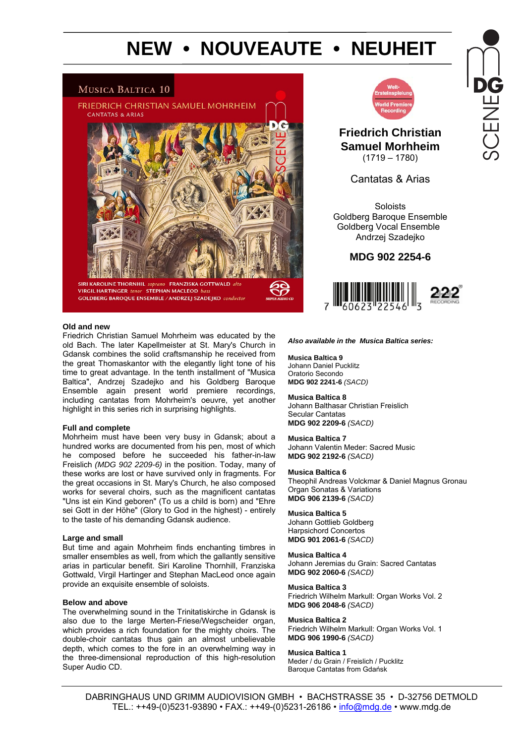# **NEW • NOUVEAUTE • NEUHEIT**

## MUSICA BALTICA 10





## **Friedrich Christian Samuel Morhheim**  (1719 – 1780)

Cantatas & Arias

Soloists Goldberg Baroque Ensemble Goldberg Vocal Ensemble Andrzej Szadejko

### **MDG 902 2254-6**



#### **Old and new**

Friedrich Christian Samuel Mohrheim was educated by the old Bach. The later Kapellmeister at St. Mary's Church in Gdansk combines the solid craftsmanship he received from the great Thomaskantor with the elegantly light tone of his time to great advantage. In the tenth installment of "Musica Baltica", Andrzej Szadejko and his Goldberg Baroque Ensemble again present world premiere recordings, including cantatas from Mohrheim's oeuvre, yet another highlight in this series rich in surprising highlights.

#### **Full and complete**

Mohrheim must have been very busy in Gdansk; about a hundred works are documented from his pen, most of which he composed before he succeeded his father-in-law Freislich *(MDG 902 2209-6)* in the position. Today, many of these works are lost or have survived only in fragments. For the great occasions in St. Mary's Church, he also composed works for several choirs, such as the magnificent cantatas "Uns ist ein Kind geboren" (To us a child is born) and "Ehre sei Gott in der Höhe" (Glory to God in the highest) - entirely to the taste of his demanding Gdansk audience.

#### **Large and small**

But time and again Mohrheim finds enchanting timbres in smaller ensembles as well, from which the gallantly sensitive arias in particular benefit. Siri Karoline Thornhill, Franziska Gottwald, Virgil Hartinger and Stephan MacLeod once again provide an exquisite ensemble of soloists.

#### **Below and above**

The overwhelming sound in the Trinitatiskirche in Gdansk is also due to the large Merten-Friese/Wegscheider organ, which provides a rich foundation for the mighty choirs. The double-choir cantatas thus gain an almost unbelievable depth, which comes to the fore in an overwhelming way in the three-dimensional reproduction of this high-resolution Super Audio CD.

#### *Also available in the Musica Baltica series:*

**Musica Baltica 9**  Johann Daniel Pucklitz Oratorio Secondo **MDG 902 2241-6** *(SACD)* 

**Musica Baltica 8** 

Johann Balthasar Christian Freislich Secular Cantatas **MDG 902 2209-6** *(SACD)* 

**Musica Baltica 7**  Johann Valentin Meder: Sacred Music **MDG 902 2192-6** *(SACD)*

#### **Musica Baltica 6**

Theophil Andreas Volckmar & Daniel Magnus Gronau Organ Sonatas & Variations **MDG 906 2139-6** *(SACD)*

#### **Musica Baltica 5**

Johann Gottlieb Goldberg Harpsichord Concertos **MDG 901 2061-6** *(SACD)*

**Musica Baltica 4**  Johann Jeremias du Grain: Sacred Cantatas **MDG 902 2060-6** *(SACD)*

**Musica Baltica 3**  Friedrich Wilhelm Markull: Organ Works Vol. 2 **MDG 906 2048-6** *(SACD)*

**Musica Baltica 2**  Friedrich Wilhelm Markull: Organ Works Vol. 1 **MDG 906 1990-6** *(SACD)*

#### **Musica Baltica 1**

Meder / du Grain / Freislich / Pucklitz Baroque Cantatas from Gdańsk